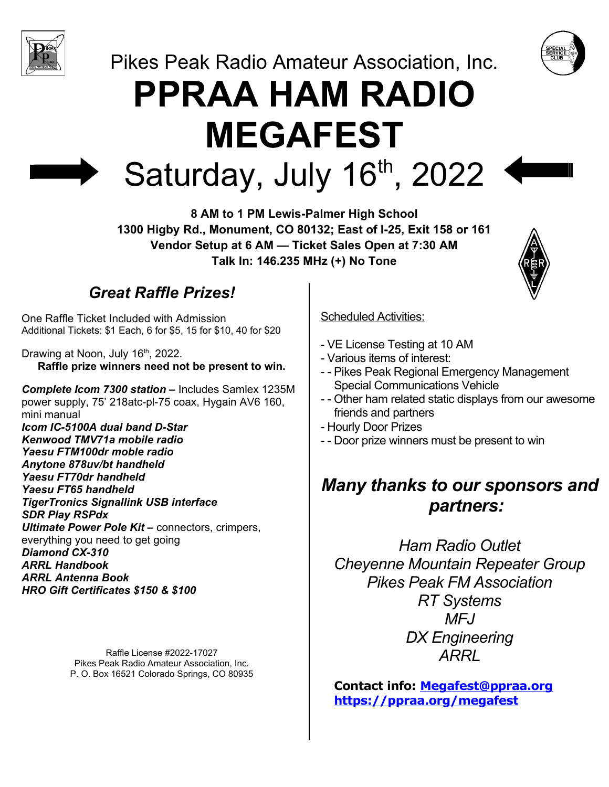

Pikes Peak Radio Amateur Association, Inc.

# **PPRAA HAM RADIO MEGAFEST** Saturday, July 16th, 2022



## *Great Raffle Prizes!*

One Raffle Ticket Included with Admission Additional Tickets: \$1 Each, 6 for \$5, 15 for \$10, 40 for \$20

Drawing at Noon, July 16<sup>th</sup>, 2022. **Raffle prize winners need not be present to win.**

*Complete Icom 7300 station –* Includes Samlex 1235M power supply, 75' 218atc-pl-75 coax, Hygain AV6 160, mini manual *Icom IC-5100A dual band D-Star Kenwood TMV71a mobile radio Yaesu FTM100dr moble radio Anytone 878uv/bt handheld Yaesu FT70dr handheld Yaesu FT65 handheld TigerTronics Signallink USB interface SDR Play RSPdx Ultimate Power Pole Kit –* connectors, crimpers, everything you need to get going *Diamond CX-310 ARRL Handbook ARRL Antenna Book HRO Gift Certificates \$150 & \$100*

> Raffle License #2022-17027 Pikes Peak Radio Amateur Association, Inc. P. O. Box 16521 Colorado Springs, CO 80935

#### Scheduled Activities:

- VE License Testing at 10 AM
- Various items of interest:
- - Pikes Peak Regional Emergency Management Special Communications Vehicle
- - Other ham related static displays from our awesome friends and partners
- Hourly Door Prizes
- - Door prize winners must be present to win

## *Many thanks to our sponsors and partners:*

*Ham Radio Outlet Cheyenne Mountain Repeater Group Pikes Peak FM Association RT Systems MFJ DX Engineering ARRL*

**Contact info: [Megafest@ppraa.org](mailto:Megafest@ppraa.org) <https://ppraa.org/megafest>**